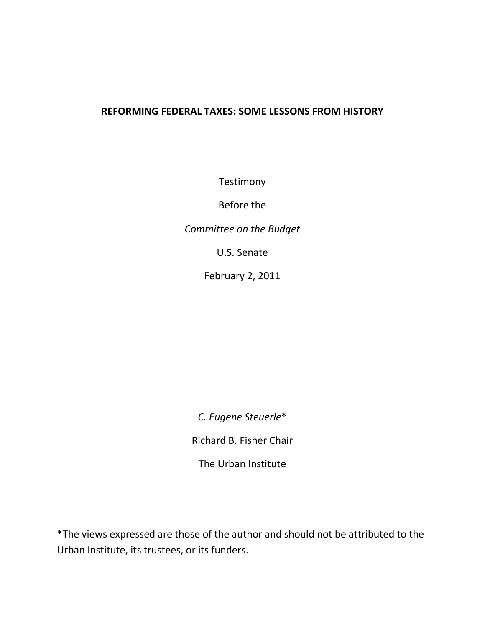# **REFORMING FEDERAL TAXES: SOME LESSONS FROM HISTORY**

**Testimony** 

Before the

*Committee on the Budget*

U.S. Senate

February 2, 2011

*C. Eugene Steuerle*\* Richard B. Fisher Chair The Urban Institute

\*The views expressed are those of the author and should not be attributed to the Urban Institute, its trustees, or its funders.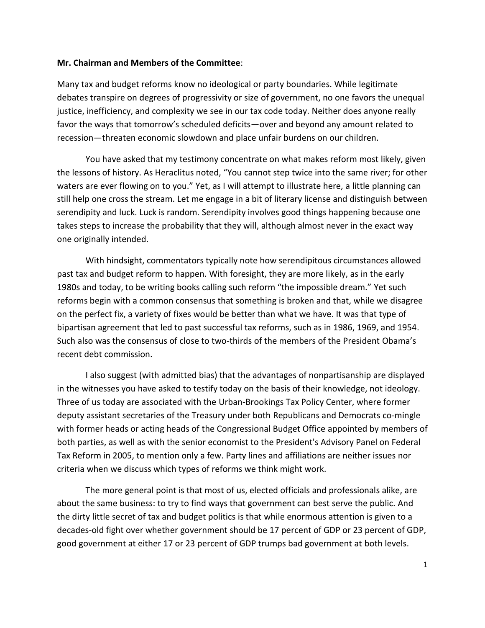#### **Mr. Chairman and Members of the Committee**:

Many tax and budget reforms know no ideological or party boundaries. While legitimate debates transpire on degrees of progressivity or size of government, no one favors the unequal justice, inefficiency, and complexity we see in our tax code today. Neither does anyone really favor the ways that tomorrow's scheduled deficits—over and beyond any amount related to recession—threaten economic slowdown and place unfair burdens on our children.

You have asked that my testimony concentrate on what makes reform most likely, given the lessons of history. As Heraclitus noted, "You cannot step twice into the same river; for other waters are ever flowing on to you." Yet, as I will attempt to illustrate here, a little planning can still help one cross the stream. Let me engage in a bit of literary license and distinguish between serendipity and luck. Luck is random. Serendipity involves good things happening because one takes steps to increase the probability that they will, although almost never in the exact way one originally intended.

With hindsight, commentators typically note how serendipitous circumstances allowed past tax and budget reform to happen. With foresight, they are more likely, as in the early 1980s and today, to be writing books calling such reform "the impossible dream." Yet such reforms begin with a common consensus that something is broken and that, while we disagree on the perfect fix, a variety of fixes would be better than what we have. It was that type of bipartisan agreement that led to past successful tax reforms, such as in 1986, 1969, and 1954. Such also was the consensus of close to two-thirds of the members of the President Obama's recent debt commission.

I also suggest (with admitted bias) that the advantages of nonpartisanship are displayed in the witnesses you have asked to testify today on the basis of their knowledge, not ideology. Three of us today are associated with the Urban-Brookings Tax Policy Center, where former deputy assistant secretaries of the Treasury under both Republicans and Democrats co-mingle with former heads or acting heads of the Congressional Budget Office appointed by members of both parties, as well as with the senior economist to the President's Advisory Panel on Federal Tax Reform in 2005, to mention only a few. Party lines and affiliations are neither issues nor criteria when we discuss which types of reforms we think might work.

The more general point is that most of us, elected officials and professionals alike, are about the same business: to try to find ways that government can best serve the public. And the dirty little secret of tax and budget politics is that while enormous attention is given to a decades-old fight over whether government should be 17 percent of GDP or 23 percent of GDP, good government at either 17 or 23 percent of GDP trumps bad government at both levels.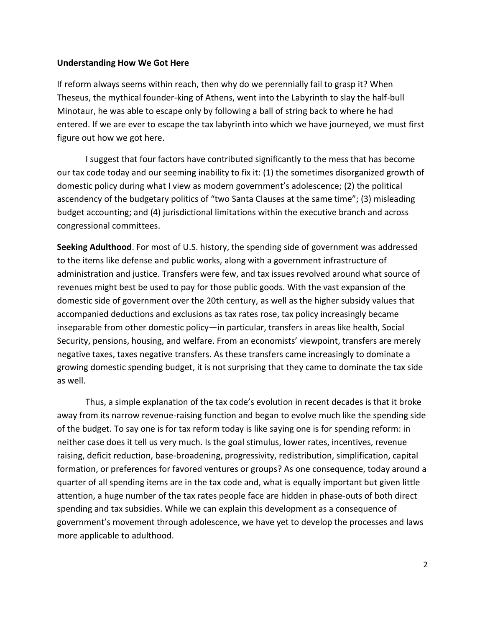#### **Understanding How We Got Here**

If reform always seems within reach, then why do we perennially fail to grasp it? When Theseus, the mythical founder-king of Athens, went into the Labyrinth to slay the half-bull Minotaur, he was able to escape only by following a ball of string back to where he had entered. If we are ever to escape the tax labyrinth into which we have journeyed, we must first figure out how we got here.

I suggest that four factors have contributed significantly to the mess that has become our tax code today and our seeming inability to fix it: (1) the sometimes disorganized growth of domestic policy during what I view as modern government's adolescence; (2) the political ascendency of the budgetary politics of "two Santa Clauses at the same time"; (3) misleading budget accounting; and (4) jurisdictional limitations within the executive branch and across congressional committees.

**Seeking Adulthood**. For most of U.S. history, the spending side of government was addressed to the items like defense and public works, along with a government infrastructure of administration and justice. Transfers were few, and tax issues revolved around what source of revenues might best be used to pay for those public goods. With the vast expansion of the domestic side of government over the 20th century, as well as the higher subsidy values that accompanied deductions and exclusions as tax rates rose, tax policy increasingly became inseparable from other domestic policy—in particular, transfers in areas like health, Social Security, pensions, housing, and welfare. From an economists' viewpoint, transfers are merely negative taxes, taxes negative transfers. As these transfers came increasingly to dominate a growing domestic spending budget, it is not surprising that they came to dominate the tax side as well.

Thus, a simple explanation of the tax code's evolution in recent decades is that it broke away from its narrow revenue-raising function and began to evolve much like the spending side of the budget. To say one is for tax reform today is like saying one is for spending reform: in neither case does it tell us very much. Is the goal stimulus, lower rates, incentives, revenue raising, deficit reduction, base-broadening, progressivity, redistribution, simplification, capital formation, or preferences for favored ventures or groups? As one consequence, today around a quarter of all spending items are in the tax code and, what is equally important but given little attention, a huge number of the tax rates people face are hidden in phase-outs of both direct spending and tax subsidies. While we can explain this development as a consequence of government's movement through adolescence, we have yet to develop the processes and laws more applicable to adulthood.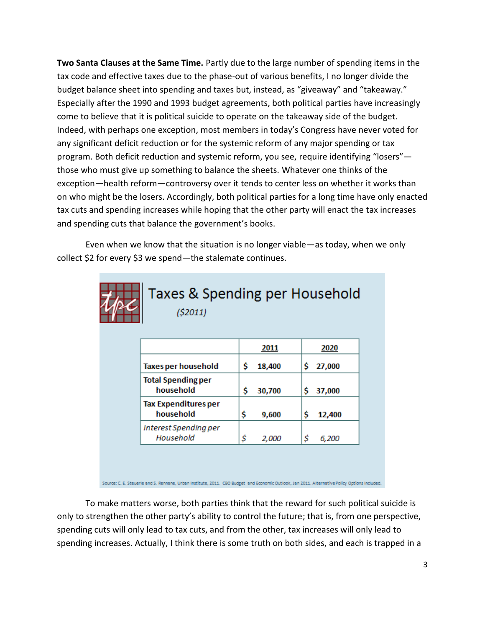**Two Santa Clauses at the Same Time.** Partly due to the large number of spending items in the tax code and effective taxes due to the phase-out of various benefits, I no longer divide the budget balance sheet into spending and taxes but, instead, as "giveaway" and "takeaway." Especially after the 1990 and 1993 budget agreements, both political parties have increasingly come to believe that it is political suicide to operate on the takeaway side of the budget. Indeed, with perhaps one exception, most members in today's Congress have never voted for any significant deficit reduction or for the systemic reform of any major spending or tax program. Both deficit reduction and systemic reform, you see, require identifying "losers" those who must give up something to balance the sheets. Whatever one thinks of the exception—health reform—controversy over it tends to center less on whether it works than on who might be the losers. Accordingly, both political parties for a long time have only enacted tax cuts and spending increases while hoping that the other party will enact the tax increases and spending cuts that balance the government's books.

Even when we know that the situation is no longer viable—as today, when we only collect \$2 for every \$3 we spend—the stalemate continues.

| Taxes & Spending per Household<br>(52011) |     |        |    |        |
|-------------------------------------------|-----|--------|----|--------|
|                                           |     | 2011   |    | 2020   |
| <b>Taxes per household</b>                | \$. | 18,400 | \$ | 27,000 |
| <b>Total Spending per</b><br>household    | Ś   | 30,700 | Ś  | 37,000 |
| <b>Tax Expenditures per</b><br>household  | \$  | 9,600  | \$ | 12,400 |
| Interest Spending per<br>Household        | \$  | 2,000  | \$ | 6,200  |
|                                           |     |        |    |        |

Source: C. E. Steuerie and S. Rennane, Urban Institute, 2011. CBO Budget and Economic Outlook, Jan 2011. Alternative Policy Options Included.

To make matters worse, both parties think that the reward for such political suicide is only to strengthen the other party's ability to control the future; that is, from one perspective, spending cuts will only lead to tax cuts, and from the other, tax increases will only lead to spending increases. Actually, I think there is some truth on both sides, and each is trapped in a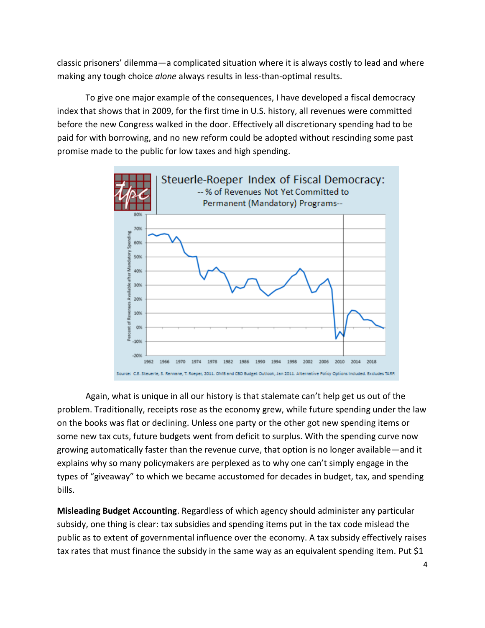classic prisoners' dilemma—a complicated situation where it is always costly to lead and where making any tough choice *alone* always results in less-than-optimal results.

To give one major example of the consequences, I have developed a fiscal democracy index that shows that in 2009, for the first time in U.S. history, all revenues were committed before the new Congress walked in the door. Effectively all discretionary spending had to be paid for with borrowing, and no new reform could be adopted without rescinding some past promise made to the public for low taxes and high spending.



Again, what is unique in all our history is that stalemate can't help get us out of the problem. Traditionally, receipts rose as the economy grew, while future spending under the law on the books was flat or declining. Unless one party or the other got new spending items or some new tax cuts, future budgets went from deficit to surplus. With the spending curve now growing automatically faster than the revenue curve, that option is no longer available—and it explains why so many policymakers are perplexed as to why one can't simply engage in the types of "giveaway" to which we became accustomed for decades in budget, tax, and spending bills.

**Misleading Budget Accounting**. Regardless of which agency should administer any particular subsidy, one thing is clear: tax subsidies and spending items put in the tax code mislead the public as to extent of governmental influence over the economy. A tax subsidy effectively raises tax rates that must finance the subsidy in the same way as an equivalent spending item. Put \$1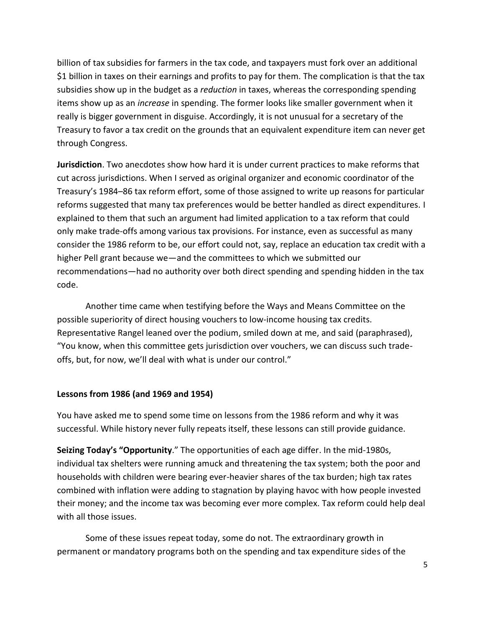billion of tax subsidies for farmers in the tax code, and taxpayers must fork over an additional \$1 billion in taxes on their earnings and profits to pay for them. The complication is that the tax subsidies show up in the budget as a *reduction* in taxes, whereas the corresponding spending items show up as an *increase* in spending. The former looks like smaller government when it really is bigger government in disguise. Accordingly, it is not unusual for a secretary of the Treasury to favor a tax credit on the grounds that an equivalent expenditure item can never get through Congress.

**Jurisdiction**. Two anecdotes show how hard it is under current practices to make reforms that cut across jurisdictions. When I served as original organizer and economic coordinator of the Treasury's 1984–86 tax reform effort, some of those assigned to write up reasons for particular reforms suggested that many tax preferences would be better handled as direct expenditures. I explained to them that such an argument had limited application to a tax reform that could only make trade-offs among various tax provisions. For instance, even as successful as many consider the 1986 reform to be, our effort could not, say, replace an education tax credit with a higher Pell grant because we—and the committees to which we submitted our recommendations—had no authority over both direct spending and spending hidden in the tax code.

Another time came when testifying before the Ways and Means Committee on the possible superiority of direct housing vouchers to low-income housing tax credits. Representative Rangel leaned over the podium, smiled down at me, and said (paraphrased), "You know, when this committee gets jurisdiction over vouchers, we can discuss such tradeoffs, but, for now, we'll deal with what is under our control."

### **Lessons from 1986 (and 1969 and 1954)**

You have asked me to spend some time on lessons from the 1986 reform and why it was successful. While history never fully repeats itself, these lessons can still provide guidance.

**Seizing Today's "Opportunity**." The opportunities of each age differ. In the mid-1980s, individual tax shelters were running amuck and threatening the tax system; both the poor and households with children were bearing ever-heavier shares of the tax burden; high tax rates combined with inflation were adding to stagnation by playing havoc with how people invested their money; and the income tax was becoming ever more complex. Tax reform could help deal with all those issues.

Some of these issues repeat today, some do not. The extraordinary growth in permanent or mandatory programs both on the spending and tax expenditure sides of the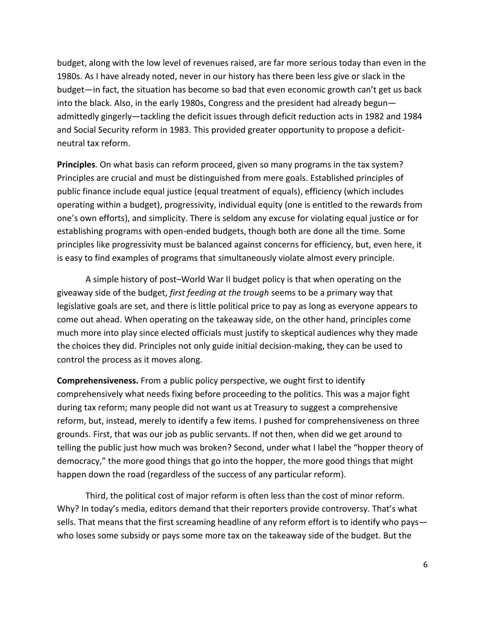budget, along with the low level of revenues raised, are far more serious today than even in the 1980s. As I have already noted, never in our history has there been less give or slack in the budget—in fact, the situation has become so bad that even economic growth can't get us back into the black. Also, in the early 1980s, Congress and the president had already begun admittedly gingerly—tackling the deficit issues through deficit reduction acts in 1982 and 1984 and Social Security reform in 1983. This provided greater opportunity to propose a deficitneutral tax reform.

**Principles**. On what basis can reform proceed, given so many programs in the tax system? Principles are crucial and must be distinguished from mere goals. Established principles of public finance include equal justice (equal treatment of equals), efficiency (which includes operating within a budget), progressivity, individual equity (one is entitled to the rewards from one's own efforts), and simplicity. There is seldom any excuse for violating equal justice or for establishing programs with open-ended budgets, though both are done all the time. Some principles like progressivity must be balanced against concerns for efficiency, but, even here, it is easy to find examples of programs that simultaneously violate almost every principle.

A simple history of post–World War II budget policy is that when operating on the giveaway side of the budget, *first feeding at the trough* seems to be a primary way that legislative goals are set, and there is little political price to pay as long as everyone appears to come out ahead. When operating on the takeaway side, on the other hand, principles come much more into play since elected officials must justify to skeptical audiences why they made the choices they did. Principles not only guide initial decision-making, they can be used to control the process as it moves along.

**Comprehensiveness.** From a public policy perspective, we ought first to identify comprehensively what needs fixing before proceeding to the politics. This was a major fight during tax reform; many people did not want us at Treasury to suggest a comprehensive reform, but, instead, merely to identify a few items. I pushed for comprehensiveness on three grounds. First, that was our job as public servants. If not then, when did we get around to telling the public just how much was broken? Second, under what I label the "hopper theory of democracy," the more good things that go into the hopper, the more good things that might happen down the road (regardless of the success of any particular reform).

Third, the political cost of major reform is often less than the cost of minor reform. Why? In today's media, editors demand that their reporters provide controversy. That's what sells. That means that the first screaming headline of any reform effort is to identify who pays who loses some subsidy or pays some more tax on the takeaway side of the budget. But the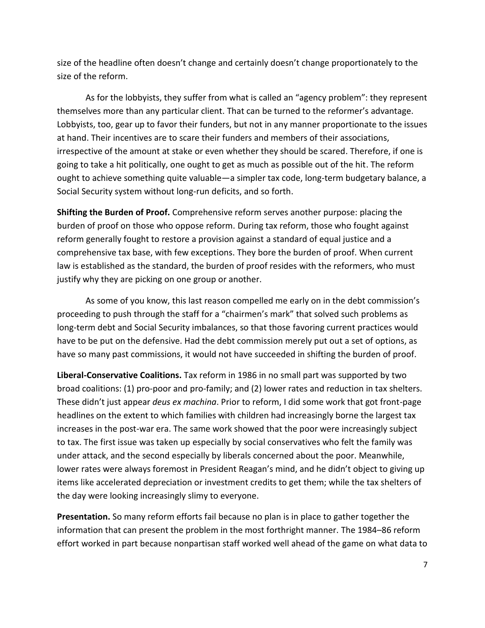size of the headline often doesn't change and certainly doesn't change proportionately to the size of the reform.

As for the lobbyists, they suffer from what is called an "agency problem": they represent themselves more than any particular client. That can be turned to the reformer's advantage. Lobbyists, too, gear up to favor their funders, but not in any manner proportionate to the issues at hand. Their incentives are to scare their funders and members of their associations, irrespective of the amount at stake or even whether they should be scared. Therefore, if one is going to take a hit politically, one ought to get as much as possible out of the hit. The reform ought to achieve something quite valuable—a simpler tax code, long-term budgetary balance, a Social Security system without long-run deficits, and so forth.

**Shifting the Burden of Proof.** Comprehensive reform serves another purpose: placing the burden of proof on those who oppose reform. During tax reform, those who fought against reform generally fought to restore a provision against a standard of equal justice and a comprehensive tax base, with few exceptions. They bore the burden of proof. When current law is established as the standard, the burden of proof resides with the reformers, who must justify why they are picking on one group or another.

As some of you know, this last reason compelled me early on in the debt commission's proceeding to push through the staff for a "chairmen's mark" that solved such problems as long-term debt and Social Security imbalances, so that those favoring current practices would have to be put on the defensive. Had the debt commission merely put out a set of options, as have so many past commissions, it would not have succeeded in shifting the burden of proof.

**Liberal-Conservative Coalitions.** Tax reform in 1986 in no small part was supported by two broad coalitions: (1) pro-poor and pro-family; and (2) lower rates and reduction in tax shelters. These didn't just appear *deus ex machina*. Prior to reform, I did some work that got front-page headlines on the extent to which families with children had increasingly borne the largest tax increases in the post-war era. The same work showed that the poor were increasingly subject to tax. The first issue was taken up especially by social conservatives who felt the family was under attack, and the second especially by liberals concerned about the poor. Meanwhile, lower rates were always foremost in President Reagan's mind, and he didn't object to giving up items like accelerated depreciation or investment credits to get them; while the tax shelters of the day were looking increasingly slimy to everyone.

**Presentation.** So many reform efforts fail because no plan is in place to gather together the information that can present the problem in the most forthright manner. The 1984–86 reform effort worked in part because nonpartisan staff worked well ahead of the game on what data to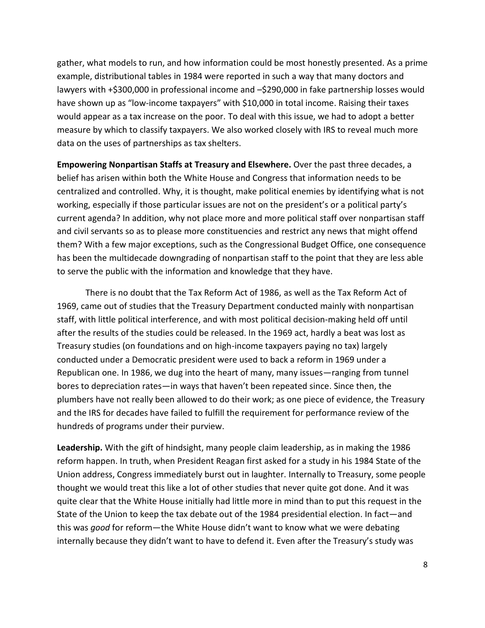gather, what models to run, and how information could be most honestly presented. As a prime example, distributional tables in 1984 were reported in such a way that many doctors and lawyers with +\$300,000 in professional income and -\$290,000 in fake partnership losses would have shown up as "low-income taxpayers" with \$10,000 in total income. Raising their taxes would appear as a tax increase on the poor. To deal with this issue, we had to adopt a better measure by which to classify taxpayers. We also worked closely with IRS to reveal much more data on the uses of partnerships as tax shelters.

**Empowering Nonpartisan Staffs at Treasury and Elsewhere.** Over the past three decades, a belief has arisen within both the White House and Congress that information needs to be centralized and controlled. Why, it is thought, make political enemies by identifying what is not working, especially if those particular issues are not on the president's or a political party's current agenda? In addition, why not place more and more political staff over nonpartisan staff and civil servants so as to please more constituencies and restrict any news that might offend them? With a few major exceptions, such as the Congressional Budget Office, one consequence has been the multidecade downgrading of nonpartisan staff to the point that they are less able to serve the public with the information and knowledge that they have.

There is no doubt that the Tax Reform Act of 1986, as well as the Tax Reform Act of 1969, came out of studies that the Treasury Department conducted mainly with nonpartisan staff, with little political interference, and with most political decision-making held off until after the results of the studies could be released. In the 1969 act, hardly a beat was lost as Treasury studies (on foundations and on high-income taxpayers paying no tax) largely conducted under a Democratic president were used to back a reform in 1969 under a Republican one. In 1986, we dug into the heart of many, many issues—ranging from tunnel bores to depreciation rates—in ways that haven't been repeated since. Since then, the plumbers have not really been allowed to do their work; as one piece of evidence, the Treasury and the IRS for decades have failed to fulfill the requirement for performance review of the hundreds of programs under their purview.

**Leadership.** With the gift of hindsight, many people claim leadership, as in making the 1986 reform happen. In truth, when President Reagan first asked for a study in his 1984 State of the Union address, Congress immediately burst out in laughter. Internally to Treasury, some people thought we would treat this like a lot of other studies that never quite got done. And it was quite clear that the White House initially had little more in mind than to put this request in the State of the Union to keep the tax debate out of the 1984 presidential election. In fact—and this was *good* for reform—the White House didn't want to know what we were debating internally because they didn't want to have to defend it. Even after the Treasury's study was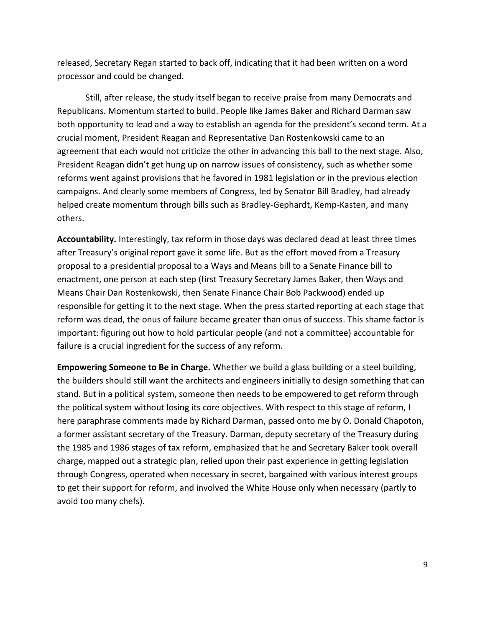released, Secretary Regan started to back off, indicating that it had been written on a word processor and could be changed.

Still, after release, the study itself began to receive praise from many Democrats and Republicans. Momentum started to build. People like James Baker and Richard Darman saw both opportunity to lead and a way to establish an agenda for the president's second term. At a crucial moment, President Reagan and Representative Dan Rostenkowski came to an agreement that each would not criticize the other in advancing this ball to the next stage. Also, President Reagan didn't get hung up on narrow issues of consistency, such as whether some reforms went against provisions that he favored in 1981 legislation or in the previous election campaigns. And clearly some members of Congress, led by Senator Bill Bradley, had already helped create momentum through bills such as Bradley-Gephardt, Kemp-Kasten, and many others.

**Accountability.** Interestingly, tax reform in those days was declared dead at least three times after Treasury's original report gave it some life. But as the effort moved from a Treasury proposal to a presidential proposal to a Ways and Means bill to a Senate Finance bill to enactment, one person at each step (first Treasury Secretary James Baker, then Ways and Means Chair Dan Rostenkowski, then Senate Finance Chair Bob Packwood) ended up responsible for getting it to the next stage. When the press started reporting at each stage that reform was dead, the onus of failure became greater than onus of success. This shame factor is important: figuring out how to hold particular people (and not a committee) accountable for failure is a crucial ingredient for the success of any reform.

**Empowering Someone to Be in Charge.** Whether we build a glass building or a steel building, the builders should still want the architects and engineers initially to design something that can stand. But in a political system, someone then needs to be empowered to get reform through the political system without losing its core objectives. With respect to this stage of reform, I here paraphrase comments made by Richard Darman, passed onto me by O. Donald Chapoton, a former assistant secretary of the Treasury. Darman, deputy secretary of the Treasury during the 1985 and 1986 stages of tax reform, emphasized that he and Secretary Baker took overall charge, mapped out a strategic plan, relied upon their past experience in getting legislation through Congress, operated when necessary in secret, bargained with various interest groups to get their support for reform, and involved the White House only when necessary (partly to avoid too many chefs).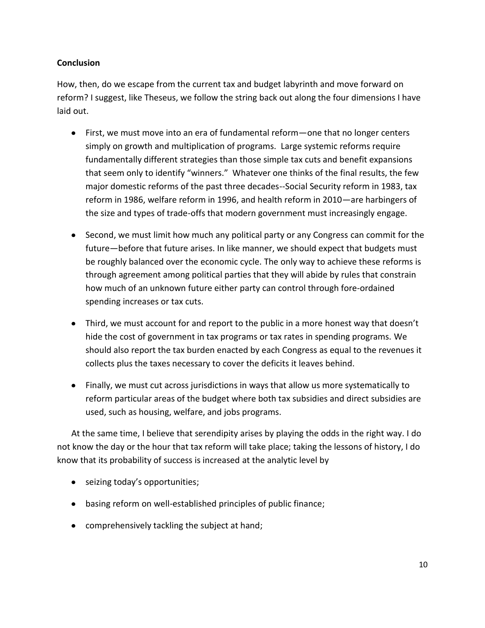## **Conclusion**

How, then, do we escape from the current tax and budget labyrinth and move forward on reform? I suggest, like Theseus, we follow the string back out along the four dimensions I have laid out.

- First, we must move into an era of fundamental reform—one that no longer centers simply on growth and multiplication of programs. Large systemic reforms require fundamentally different strategies than those simple tax cuts and benefit expansions that seem only to identify "winners." Whatever one thinks of the final results, the few major domestic reforms of the past three decades--Social Security reform in 1983, tax reform in 1986, welfare reform in 1996, and health reform in 2010—are harbingers of the size and types of trade-offs that modern government must increasingly engage.
- Second, we must limit how much any political party or any Congress can commit for the future—before that future arises. In like manner, we should expect that budgets must be roughly balanced over the economic cycle. The only way to achieve these reforms is through agreement among political parties that they will abide by rules that constrain how much of an unknown future either party can control through fore-ordained spending increases or tax cuts.
- Third, we must account for and report to the public in a more honest way that doesn't hide the cost of government in tax programs or tax rates in spending programs. We should also report the tax burden enacted by each Congress as equal to the revenues it collects plus the taxes necessary to cover the deficits it leaves behind.
- Finally, we must cut across jurisdictions in ways that allow us more systematically to reform particular areas of the budget where both tax subsidies and direct subsidies are used, such as housing, welfare, and jobs programs.

At the same time, I believe that serendipity arises by playing the odds in the right way. I do not know the day or the hour that tax reform will take place; taking the lessons of history, I do know that its probability of success is increased at the analytic level by

- seizing today's opportunities;
- basing reform on well-established principles of public finance;
- comprehensively tackling the subject at hand;